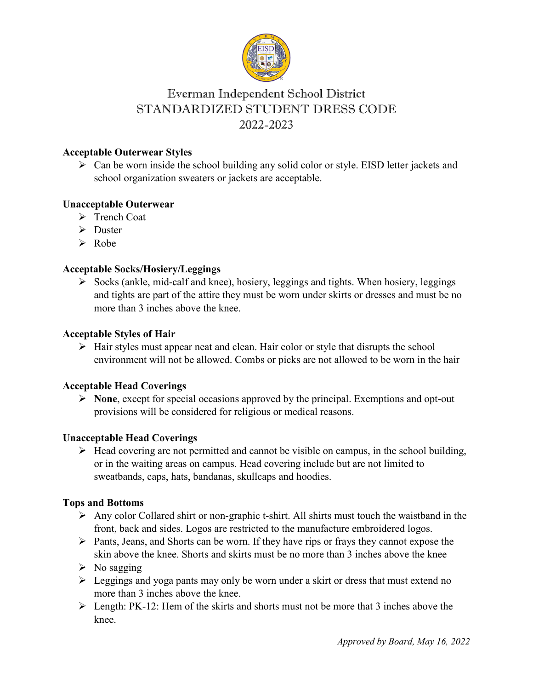

# Everman Independent School District STANDARDIZED STUDENT DRESS CODE 2022-2023

### **Acceptable Outerwear Styles**

 $\triangleright$  Can be worn inside the school building any solid color or style. EISD letter jackets and school organization sweaters or jackets are acceptable.

### **Unacceptable Outerwear**

- > Trench Coat
- $\triangleright$  Duster
- $\triangleright$  Robe

### **Acceptable Socks/Hosiery/Leggings**

 $\triangleright$  Socks (ankle, mid-calf and knee), hosiery, leggings and tights. When hosiery, leggings and tights are part of the attire they must be worn under skirts or dresses and must be no more than 3 inches above the knee.

## **Acceptable Styles of Hair**

 $\triangleright$  Hair styles must appear neat and clean. Hair color or style that disrupts the school environment will not be allowed. Combs or picks are not allowed to be worn in the hair

### **Acceptable Head Coverings**

 **None**, except for special occasions approved by the principal. Exemptions and opt-out provisions will be considered for religious or medical reasons.

### **Unacceptable Head Coverings**

 $\triangleright$  Head covering are not permitted and cannot be visible on campus, in the school building, or in the waiting areas on campus. Head covering include but are not limited to sweatbands, caps, hats, bandanas, skullcaps and hoodies.

### **Tops and Bottoms**

- $\triangleright$  Any color Collared shirt or non-graphic t-shirt. All shirts must touch the waistband in the front, back and sides. Logos are restricted to the manufacture embroidered logos.
- $\triangleright$  Pants, Jeans, and Shorts can be worn. If they have rips or frays they cannot expose the skin above the knee. Shorts and skirts must be no more than 3 inches above the knee
- $\triangleright$  No sagging
- $\triangleright$  Leggings and yoga pants may only be worn under a skirt or dress that must extend no more than 3 inches above the knee.
- $\triangleright$  Length: PK-12: Hem of the skirts and shorts must not be more that 3 inches above the knee.